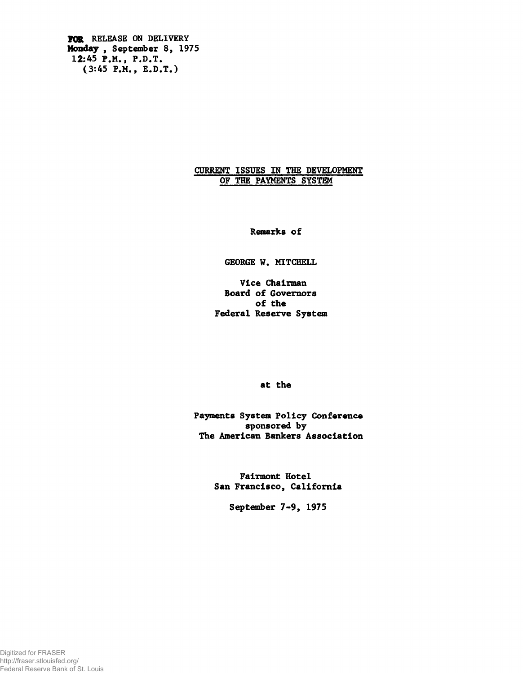VOR RELEASE ON DELIVERY Monday , September 8, 1975 12:45 P.M., P.D.T. (3:45 P.M., E.D.T.)

# CURRENT ISSUES IN THE DEVELOPMENT OF THE PAYMENTS SYSTEM

Renarks of

GEORGE W. MITCHELL

Vice Chairman Board of Governors of the Federal Reserve System

at the

Payments System Policy Conference sponsored by The American Bankers Association

> Fairmont Hotel San Francisco, California

> > September 7-9, 1975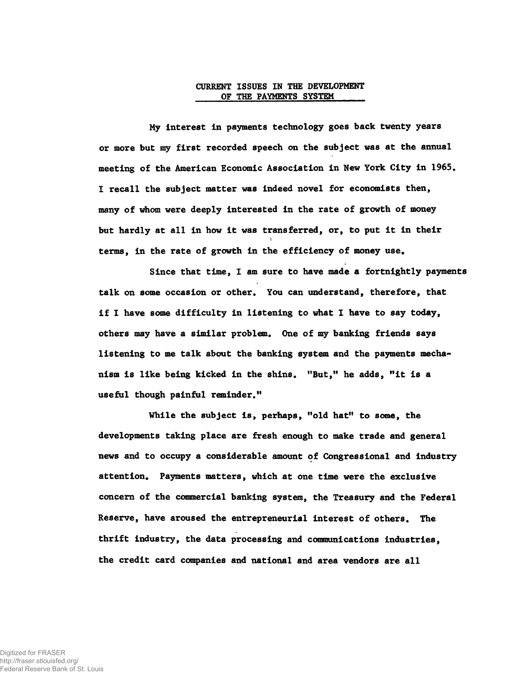## CURRENT ISSUES IN THE DEVELOPMENT OF THE PAYMENTS SYSTEM

My interest in payments technology goes back twenty years or more but my first recorded speech on the subject was at the annual meeting of the American Economic Association in New York City in 1965. I recall the subject matter was indeed novel for economists then, many of whom were deeply interested in the rate of growth of money but hardly at all in how it was transferred, or, to put it in their terms, in the rate of growth in the efficiency of money use.

Since that time, I am sure to have made a fortnightly payments talk on some occasion or other. You can understand, therefore, that if I have some difficulty in listening to what I have to say today, others may have a similar problem. One of my banking friends says listening to me talk about the banking system and the payments mechanism is like being kicked in the shins. "But," he adds, "it is a useful though painful reminder."

While the subject is, perhaps, "old hat" to some, the developments taking place are fresh enough to make trade and general news and to occupy a considerable amount of Congressional and industry attention. Payments matters, which at one time were the exclusive concern of the commercial banking system, the Treasury and the Federal Reserve, have aroused the entrepreneurial interest of others. The thrift industry, the data processing and communications industries, the credit card companies and national and area vendors are all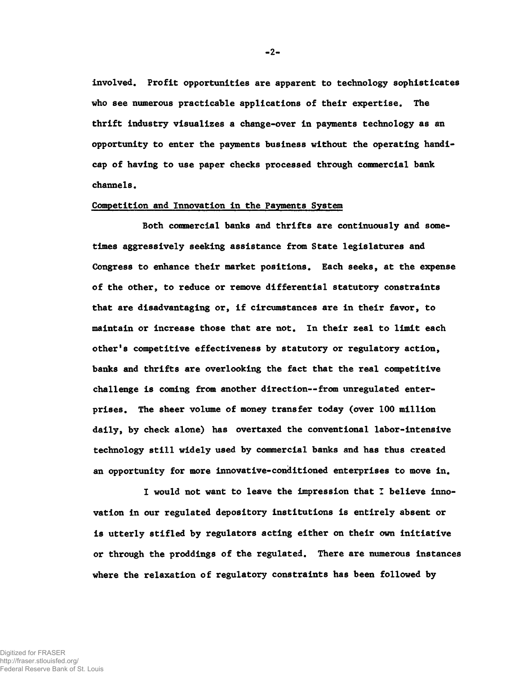involved. Profit opportunities are apparent to technology sophisticates who see numerous practicable applications of their expertise. The thrift industry visualizes a change-over in payments technology as an opportunity to enter the payments business without the operating handicap of having to use paper checks processed through commercial bank channels.

# Competition and Innovation in the Payments System

Both commercial banks and thrifts are continuously and sometimes aggressively seeking assistance from State legislatures and Congress to enhance their market positions. Each seeks, at the expense of the other, to reduce or remove differential statutory constraints that are disadvantaging or, if circumstances are in their favor, to maintain or increase those that are not. In their zeal to limit each other'8 competitive effectiveness by statutory or regulatory action, banks and thrifts are overlooking the fact that the real competitive challenge is coming from another direction--from unregulated enterprises. The sheer volume of money transfer today (over 100 million daily, by check alone) has overtaxed the conventional labor-intensive technology still widely used by commercial banks and has thus created an opportunity for more innovative-conditioned enterprises to move in.

I would not want to leave the impression that I believe innovation in our regulated depository institutions is entirely absent or is utterly stifled by regulators acting either on their own initiative or through the proddings of the regulated. There are numerous instances where the relaxation of regulatory constraints has been followed by

-2-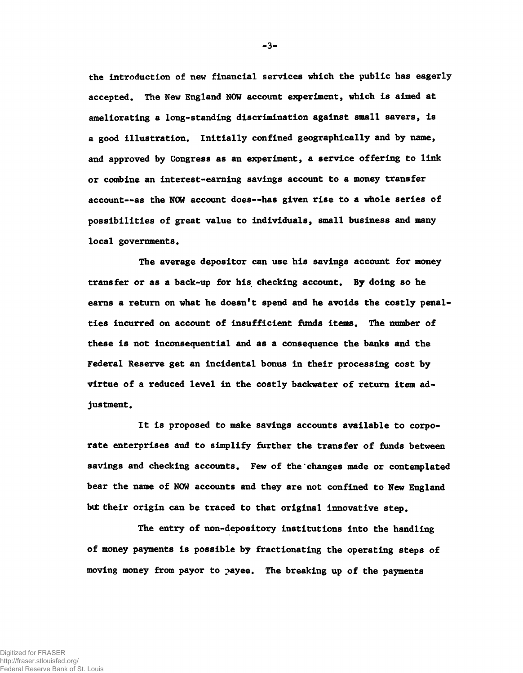the introduction of new financial services which the public has eagerly accepted. The New England NOW account experiment, which is aimed at ameliorating a long-standing discrimination against small savers, is a good illustration. Initially confined geographically and by name, and approved by Congress as an experiment, a service offering to link or combine an interest-earning savings account to a money transfer account— as the NOW account does— has given rise to a whole series of possibilities of great value to individuals, small business and many local governments.

The average depositor can use his savings account for money transfer or as a back-up for his checking account. By doing so he earns a return on what he doesn't spend and he avoids the costly penalties incurred on account of insufficient funds items. The number of these is not inconsequential and as a consequence the banks and the Federal Reserve get an incidental bonus in their processing cost by virtue of a reduced level in the costly backwater of return item adjustment.

It is proposed to make savings accounts available to corporate enterprises and to simplify further the transfer of funds between savings and checking accounts. Few of the changes made or contemplated bear the name of NOW accounts and they are not confined to New England but their origin can be traced to that original innovative step.

The entry of non-depository institutions into the handling of money payments is possible by fractionating the operating steps of moving money from payor to payee. The breaking up of the payments

-3-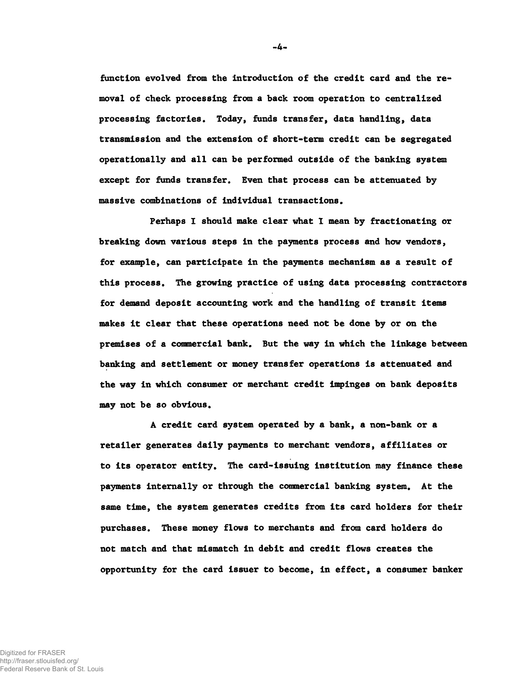function evolved from the introduction of the credit card and the removal of check processing from a back room operation to centralized processing factories. Today, funds transfer, data handling, data transmission and the extension of short-term credit can be segregated operationally and all can be performed outside of the banking system except for funds transfer. Even that process can be attenuated by massive combinations of individual transactions.

Perhaps I should make clear what I mean by fractionating or breaking down various steps in the payments process and how vendors, for example, can participate in the payments mechanism as a result of this process. The growing practice of using data processing contractors for demand deposit accounting work and the handling of transit items makes it clear that these operations need not be done by or on the premises of a commercial bank. But the way in which the linkage between banking and settlement or money transfer operations is attenuated and the way in which consumer or merchant credit impinges on bank deposits may not be so obvious.

A credit card system operated by a bank, a non-bank or a retailer generates daily payments to merchant vendors, affiliates or to its operator entity. The card-issuing institution may finance these payments internally or through the commercial banking system. At the same time, the system generates credits from its card holders for their purchases. These money flows to merchants and from card holders do not match and that mismatch in debit and credit flows creates the opportunity for the card issuer to become, in effect, a consumer banker

-4-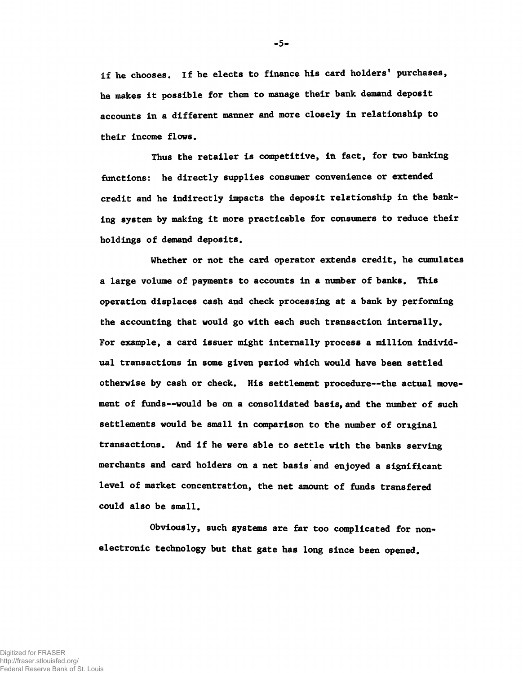if he chooses. If he elects to finance his card holders' purchases, he makes it possible for them to manage their bank demand deposit accounts in a different manner and more closely in relationship to their income flows.

Thus the retailer is competitive, in fact, for two banking functions: he directly supplies consumer convenience or extended credit and he indirectly impacts the deposit relationship in the banking system by making it more practicable for consumers to reduce their holdings of demand deposits.

Whether or not the card operator extends credit, he cumulates a large volume of payments to accounts in a number of banks. This operation displaces cash and check processing at a bank by performing the accounting that would go with each such transaction internally. For example, a card issuer might internally process a million individual transactions in some given period which would have been settled otherwise by cash or check. His settlement procedure— the actual movement of funds— would be on a consolidated basis, and the number of such settlements would be small in comparison to the number of original transactions. And if he were able to settle with the banks serving merchants and card holders on a net basis and enjoyed a significant level of market concentration, the net amount of funds transfered could also be small.

Obviously, such systems are far too complicated for nonelectronic technology but that gate has long since been opened.

 $-5-$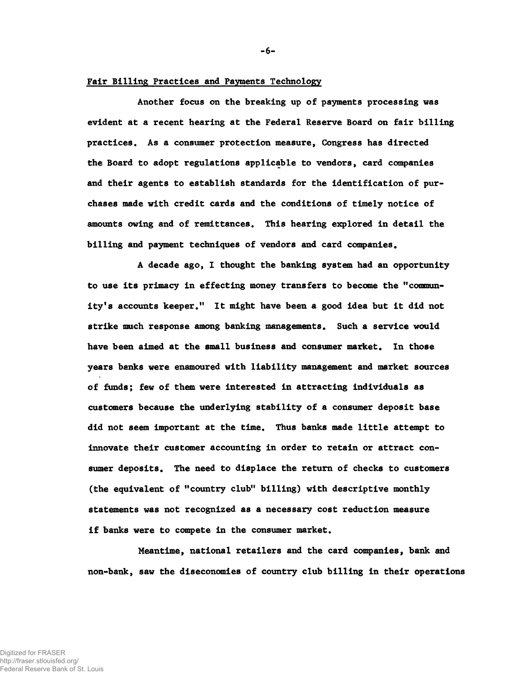#### Fair Billing Practices and Payments Technology

Another focus on the breaking up of payments processing was evident at a recent hearing at the Federal Reserve Board on fair billing practices. As a consumer protection measure, Congress has directed the Board to adopt regulations applicable to vendors, card companies and their agents to establish standards for the identification of purchases made with credit cards and the conditions of timely notice of amounts owing and of remittances. This hearing explored in detail the billing and payment techniques of vendors and card companies.

A decade ago, I thought the banking system had an opportunity to use its primacy in effecting money transfers to become the "community's accounts keeper." It might have been a good idea but it did not strike much response among banking managements. Such a service would have been aimed at the small business and consumer market. In those years banks were enamoured with liability management and market sources of funds; few of them were interested in attracting individuals as customers because the underlying stability of a consumer deposit base did not seem important at the time. Thus banks made little attempt to innovate their customer accounting in order to retain or attract consumer deposits. The need to displace the return of checks to customers (the equivalent of "country club" billing) with descriptive monthly statements was not recognized as a necessary cost reduction measure if banks were to compete in the consumer market.

Meantime, national retailers and the card companies, bank and non-bank, saw the diseconomies of country club billing in their operations

-6-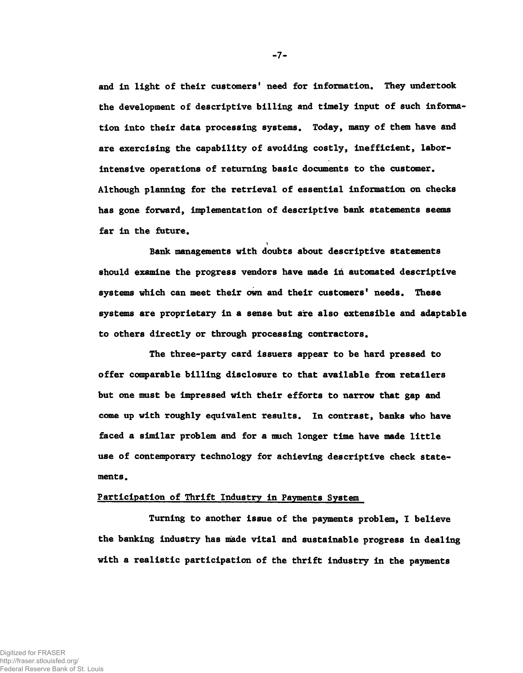and in light of their customers' need for information. They undertook the development of descriptive billing and timely input of such information into their data processing systems. Today, many of them have and are exercising the capability of avoiding costly, inefficient, laborintensive operations of returning basic documents to the customer. Although planning for the retrieval of essential information on checks has gone forward, implementation of descriptive bank statements seems far in the future.

Bank managements with doubts about descriptive statements should examine the progress vendors have made in automated descriptive systems which can meet their own and their customers' needs. These systems are proprietary in a sense but are also extensible and adaptable to others directly or through processing contractors.

i

The three-party card issuers appear to be hard pressed to offer comparable billing disclosure to that available from retailers but one must be impressed with their efforts to narrow that gap and come up with roughly equivalent results. In contrast, banks who have faced a similar problem and for a much longer time have made little use of contemporary technology for achieving descriptive check statements.

## Participation of Thrift Industry in Payments System

Turning to another issue of the payments problem, I believe the banking industry has made vital and sustainable progress in dealing with a realistic participation of the thrift industry in the payments

 $-7-$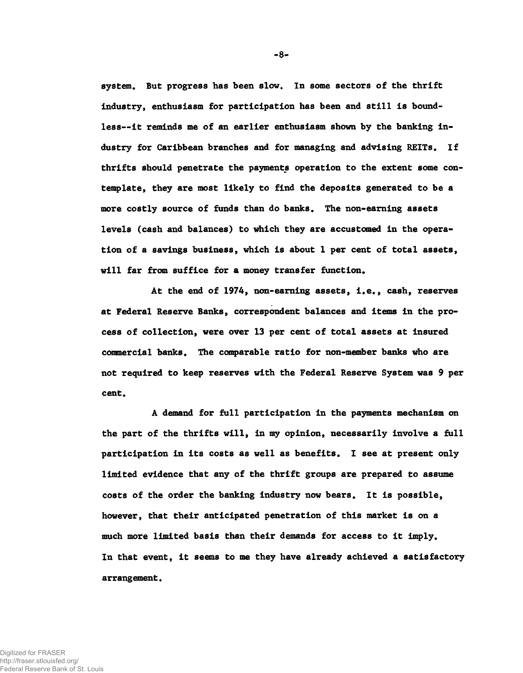system. But progress has been slow. In some sectors of the thrift industry, enthusiasm for participation has been and still is boundless— it reminds me of an earlier enthusiasm shown by the banking industry for Caribbean branches and for managing and advising REITs. If thrifts should penetrate the payments operation to the extent some contemplate, they are most likely to find the deposits generated to be a more costly source of funds than do banks. The non-earning assets levels (cash and balances) to which they are accustomed in the operation of a savings business, which is about 1 per cent of total assets, will far from suffice for a money transfer function.

At the end of 1974, non-earning assets, i.e., cash, reserves at Federal Reserve Banks, correspondent balances and items in the process of collection, were over 13 per cent of total assets at insured commercial banks. The comparable ratio for non-member banks who are not required to keep reserves with the Federal Reserve System was 9 per cent.

A demand for full participation in the payments mechanism on the part of the thrifts will, in my opinion, necessarily involve a full participation in its costs as well as benefits. I see at present only limited evidence that any of the thrift groups are prepared to assume costs of the order the banking industry now bears. It is possible, however, that their anticipated penetration of this market is on a much more limited basis than their demands for access to it imply. In that event, it seems to me they have already achieved a satisfactory arrangement.

-8-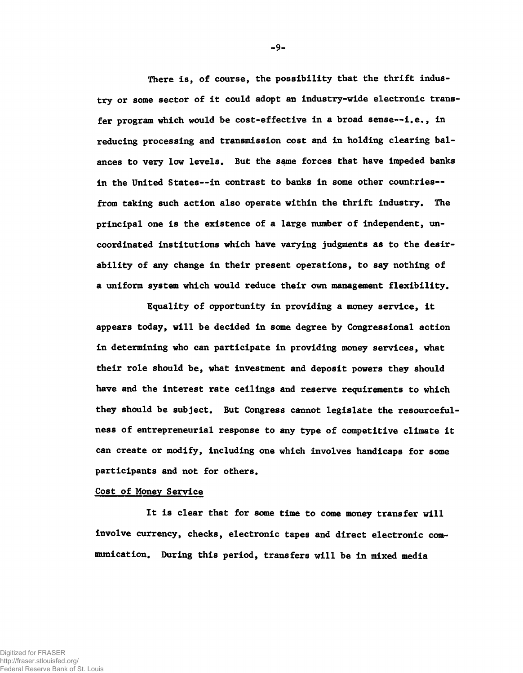There is, of course, the possibility that the thrift industry or some sector of it could adopt an industry-wide electronic transfer program which would be cost-effective in a broad sense--i.e., in reducing processing and transmission cost and in holding clearing balances to very low levels. But the same forces that have impeded banks in the United States--in contrast to banks in some other countries-from taking such action also operate within the thrift industry. The principal one is the existence of a large number of independent, uncoordinated institutions which have varying judgments as to the desirability of any change in their present operations, to say nothing of a uniform system which would reduce their own management flexibility.

Equality of opportunity in providing a money service, it appears today, will be decided in some degree by Congressional action in determining who can participate in providing money services, what their role should be, what investment and deposit powers they should have and the interest rate ceilings and reserve requirements to which they should be subject. But Congress cannot legislate the resourcefulness of entrepreneurial response to any type of competitive climate it can create or modify, including one which involves handicaps for some participants and not for others.

#### Cost of Money Service

It is clear that for some time to come money transfer will involve currency, checks, electronic tapes and direct electronic communication. During this period, transfers will be in mixed media

-9-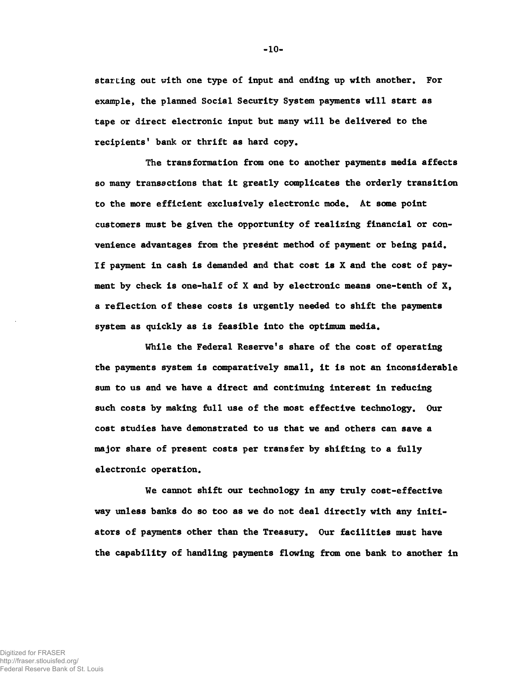starting out with one type of input and ending up with another. For example, the planned Social Security System payments will start as tape or direct electronic input but many will be delivered to the recipients' bank or thrift as hard copy.

The transformation from one to another payments media affects so many transactions that it greatly complicates the orderly transition to the more efficient exclusively electronic mode. At some point customers must be given the opportunity of realizing financial or convenience advantages from the present method of payment or being paid. If payment in cash is demanded and that cost is X and the cost of payment by check is one-half of X and by electronic means one-tenth of  $X$ , a reflection of these costs is urgently needed to shift the payments system as quickly as is feasible into the optimum media.

While the Federal Reserve's share of the cost of operating the payments system is comparatively small, it is not an inconsiderable sum to us and we have a direct and continuing interest in reducing such costs by making full use of the most effective technology. Our cost studies have demonstrated to us that we and others can save a major share of present costs per transfer by shifting to a fully electronic operation.

We cannot shift our technology in any truly cost-effective way unless banks do so too as we do not deal directly with any initiators of payments other than the Treasury. Our facilities must have the capability of handling payments flowing from one bank to another in

 $-10-$